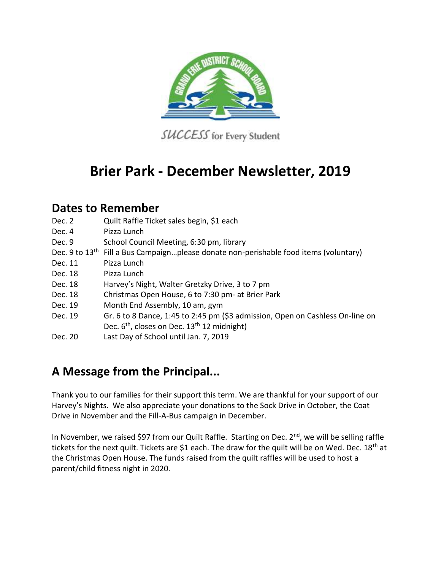

SUCCESS for Every Student

## **Brier Park - December Newsletter, 2019**

## **Dates to Remember**

- Dec. 2 Quilt Raffle Ticket sales begin, \$1 each
- Dec. 4 Pizza Lunch
- Dec. 9 School Council Meeting, 6:30 pm, library
- Dec. 9 to 13<sup>th</sup> Fill a Bus Campaign...please donate non-perishable food items (voluntary)
- Dec. 11 Pizza Lunch
- Dec. 18 Pizza Lunch
- Dec. 18 Harvey's Night, Walter Gretzky Drive, 3 to 7 pm
- Dec. 18 Christmas Open House, 6 to 7:30 pm- at Brier Park
- Dec. 19 Month End Assembly, 10 am, gym
- Dec. 19 Gr. 6 to 8 Dance, 1:45 to 2:45 pm (\$3 admission, Open on Cashless On-line on Dec.  $6<sup>th</sup>$ , closes on Dec.  $13<sup>th</sup> 12$  midnight)
- Dec. 20 Last Day of School until Jan. 7, 2019

## **A Message from the Principal...**

Thank you to our families for their support this term. We are thankful for your support of our Harvey's Nights. We also appreciate your donations to the Sock Drive in October, the Coat Drive in November and the Fill-A-Bus campaign in December.

In November, we raised \$97 from our Quilt Raffle. Starting on Dec.  $2<sup>nd</sup>$ , we will be selling raffle tickets for the next quilt. Tickets are \$1 each. The draw for the quilt will be on Wed. Dec. 18<sup>th</sup> at the Christmas Open House. The funds raised from the quilt raffles will be used to host a parent/child fitness night in 2020.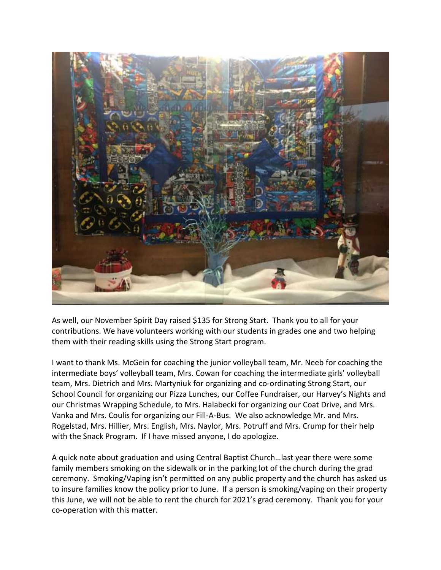

As well, our November Spirit Day raised \$135 for Strong Start. Thank you to all for your contributions. We have volunteers working with our students in grades one and two helping them with their reading skills using the Strong Start program.

I want to thank Ms. McGein for coaching the junior volleyball team, Mr. Neeb for coaching the intermediate boys' volleyball team, Mrs. Cowan for coaching the intermediate girls' volleyball team, Mrs. Dietrich and Mrs. Martyniuk for organizing and co-ordinating Strong Start, our School Council for organizing our Pizza Lunches, our Coffee Fundraiser, our Harvey's Nights and our Christmas Wrapping Schedule, to Mrs. Halabecki for organizing our Coat Drive, and Mrs. Vanka and Mrs. Coulis for organizing our Fill-A-Bus. We also acknowledge Mr. and Mrs. Rogelstad, Mrs. Hillier, Mrs. English, Mrs. Naylor, Mrs. Potruff and Mrs. Crump for their help with the Snack Program. If I have missed anyone, I do apologize.

A quick note about graduation and using Central Baptist Church…last year there were some family members smoking on the sidewalk or in the parking lot of the church during the grad ceremony. Smoking/Vaping isn't permitted on any public property and the church has asked us to insure families know the policy prior to June. If a person is smoking/vaping on their property this June, we will not be able to rent the church for 2021's grad ceremony. Thank you for your co-operation with this matter.